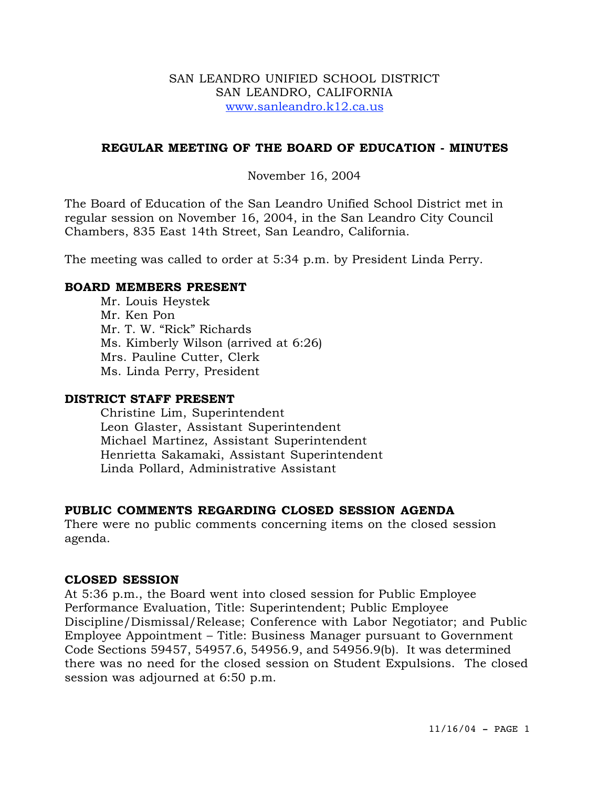#### SAN LEANDRO UNIFIED SCHOOL DISTRICT SAN LEANDRO, CALIFORNIA www.sanleandro.k12.ca.us

### **REGULAR MEETING OF THE BOARD OF EDUCATION - MINUTES**

November 16, 2004

The Board of Education of the San Leandro Unified School District met in regular session on November 16, 2004, in the San Leandro City Council Chambers, 835 East 14th Street, San Leandro, California.

The meeting was called to order at 5:34 p.m. by President Linda Perry.

### **BOARD MEMBERS PRESENT**

Mr. Louis Heystek Mr. Ken Pon Mr. T. W. "Rick" Richards Ms. Kimberly Wilson (arrived at 6:26) Mrs. Pauline Cutter, Clerk Ms. Linda Perry, President

#### **DISTRICT STAFF PRESENT**

Christine Lim, Superintendent Leon Glaster, Assistant Superintendent Michael Martinez, Assistant Superintendent Henrietta Sakamaki, Assistant Superintendent Linda Pollard, Administrative Assistant

# **PUBLIC COMMENTS REGARDING CLOSED SESSION AGENDA**

There were no public comments concerning items on the closed session agenda.

# **CLOSED SESSION**

At 5:36 p.m., the Board went into closed session for Public Employee Performance Evaluation, Title: Superintendent; Public Employee Discipline/Dismissal/Release; Conference with Labor Negotiator; and Public Employee Appointment – Title: Business Manager pursuant to Government Code Sections 59457, 54957.6, 54956.9, and 54956.9(b). It was determined there was no need for the closed session on Student Expulsions. The closed session was adjourned at 6:50 p.m.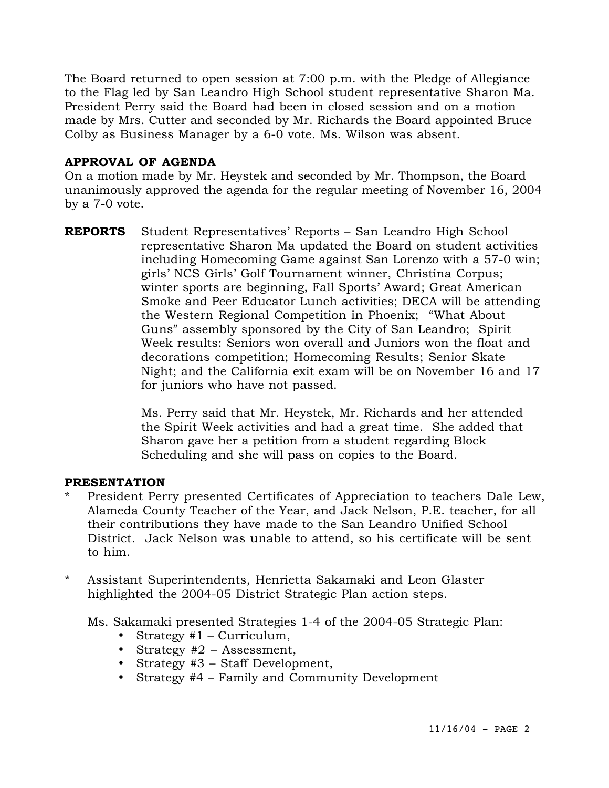The Board returned to open session at 7:00 p.m. with the Pledge of Allegiance to the Flag led by San Leandro High School student representative Sharon Ma. President Perry said the Board had been in closed session and on a motion made by Mrs. Cutter and seconded by Mr. Richards the Board appointed Bruce Colby as Business Manager by a 6-0 vote. Ms. Wilson was absent.

# **APPROVAL OF AGENDA**

On a motion made by Mr. Heystek and seconded by Mr. Thompson, the Board unanimously approved the agenda for the regular meeting of November 16, 2004 by a 7-0 vote.

**REPORTS** Student Representatives' Reports – San Leandro High School representative Sharon Ma updated the Board on student activities including Homecoming Game against San Lorenzo with a 57-0 win; girls' NCS Girls' Golf Tournament winner, Christina Corpus; winter sports are beginning, Fall Sports' Award; Great American Smoke and Peer Educator Lunch activities; DECA will be attending the Western Regional Competition in Phoenix; "What About Guns" assembly sponsored by the City of San Leandro; Spirit Week results: Seniors won overall and Juniors won the float and decorations competition; Homecoming Results; Senior Skate Night; and the California exit exam will be on November 16 and 17 for juniors who have not passed.

> Ms. Perry said that Mr. Heystek, Mr. Richards and her attended the Spirit Week activities and had a great time. She added that Sharon gave her a petition from a student regarding Block Scheduling and she will pass on copies to the Board.

# **PRESENTATION**

- President Perry presented Certificates of Appreciation to teachers Dale Lew, Alameda County Teacher of the Year, and Jack Nelson, P.E. teacher, for all their contributions they have made to the San Leandro Unified School District. Jack Nelson was unable to attend, so his certificate will be sent to him.
- \* Assistant Superintendents, Henrietta Sakamaki and Leon Glaster highlighted the 2004-05 District Strategic Plan action steps.

Ms. Sakamaki presented Strategies 1-4 of the 2004-05 Strategic Plan:

- Strategy #1 Curriculum,
- Strategy #2 Assessment,
- Strategy #3 Staff Development,
- Strategy #4 Family and Community Development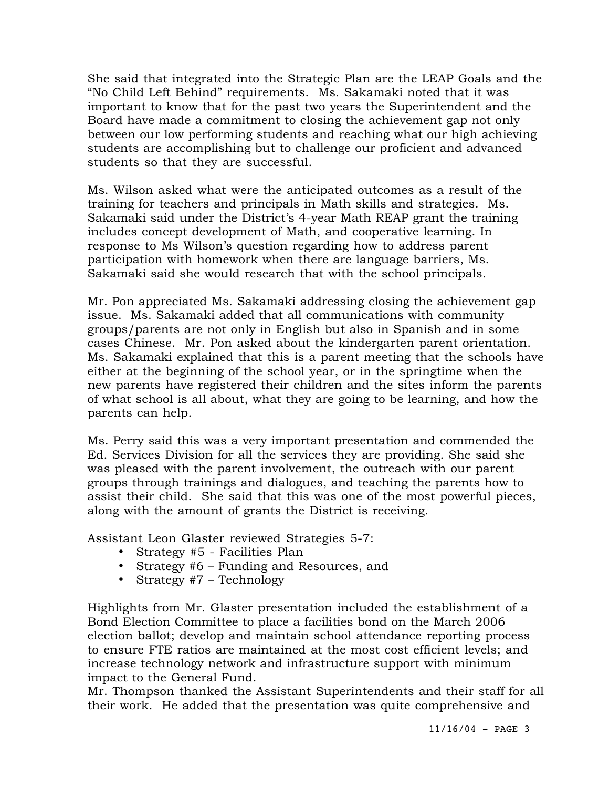She said that integrated into the Strategic Plan are the LEAP Goals and the "No Child Left Behind" requirements. Ms. Sakamaki noted that it was important to know that for the past two years the Superintendent and the Board have made a commitment to closing the achievement gap not only between our low performing students and reaching what our high achieving students are accomplishing but to challenge our proficient and advanced students so that they are successful.

Ms. Wilson asked what were the anticipated outcomes as a result of the training for teachers and principals in Math skills and strategies. Ms. Sakamaki said under the District's 4-year Math REAP grant the training includes concept development of Math, and cooperative learning. In response to Ms Wilson's question regarding how to address parent participation with homework when there are language barriers, Ms. Sakamaki said she would research that with the school principals.

Mr. Pon appreciated Ms. Sakamaki addressing closing the achievement gap issue. Ms. Sakamaki added that all communications with community groups/parents are not only in English but also in Spanish and in some cases Chinese. Mr. Pon asked about the kindergarten parent orientation. Ms. Sakamaki explained that this is a parent meeting that the schools have either at the beginning of the school year, or in the springtime when the new parents have registered their children and the sites inform the parents of what school is all about, what they are going to be learning, and how the parents can help.

Ms. Perry said this was a very important presentation and commended the Ed. Services Division for all the services they are providing. She said she was pleased with the parent involvement, the outreach with our parent groups through trainings and dialogues, and teaching the parents how to assist their child. She said that this was one of the most powerful pieces, along with the amount of grants the District is receiving.

Assistant Leon Glaster reviewed Strategies 5-7:

- Strategy #5 Facilities Plan
- Strategy #6 Funding and Resources, and
- Strategy #7 Technology

Highlights from Mr. Glaster presentation included the establishment of a Bond Election Committee to place a facilities bond on the March 2006 election ballot; develop and maintain school attendance reporting process to ensure FTE ratios are maintained at the most cost efficient levels; and increase technology network and infrastructure support with minimum impact to the General Fund.

Mr. Thompson thanked the Assistant Superintendents and their staff for all their work. He added that the presentation was quite comprehensive and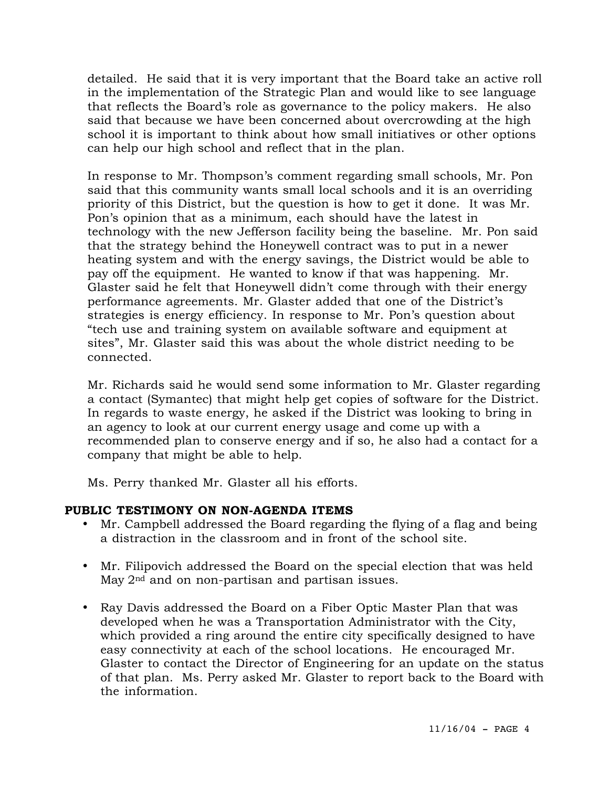detailed. He said that it is very important that the Board take an active roll in the implementation of the Strategic Plan and would like to see language that reflects the Board's role as governance to the policy makers. He also said that because we have been concerned about overcrowding at the high school it is important to think about how small initiatives or other options can help our high school and reflect that in the plan.

In response to Mr. Thompson's comment regarding small schools, Mr. Pon said that this community wants small local schools and it is an overriding priority of this District, but the question is how to get it done. It was Mr. Pon's opinion that as a minimum, each should have the latest in technology with the new Jefferson facility being the baseline. Mr. Pon said that the strategy behind the Honeywell contract was to put in a newer heating system and with the energy savings, the District would be able to pay off the equipment. He wanted to know if that was happening. Mr. Glaster said he felt that Honeywell didn't come through with their energy performance agreements. Mr. Glaster added that one of the District's strategies is energy efficiency. In response to Mr. Pon's question about "tech use and training system on available software and equipment at sites", Mr. Glaster said this was about the whole district needing to be connected.

Mr. Richards said he would send some information to Mr. Glaster regarding a contact (Symantec) that might help get copies of software for the District. In regards to waste energy, he asked if the District was looking to bring in an agency to look at our current energy usage and come up with a recommended plan to conserve energy and if so, he also had a contact for a company that might be able to help.

Ms. Perry thanked Mr. Glaster all his efforts.

# **PUBLIC TESTIMONY ON NON-AGENDA ITEMS**

- Mr. Campbell addressed the Board regarding the flying of a flag and being a distraction in the classroom and in front of the school site.
- Mr. Filipovich addressed the Board on the special election that was held May 2<sup>nd</sup> and on non-partisan and partisan issues.
- Ray Davis addressed the Board on a Fiber Optic Master Plan that was developed when he was a Transportation Administrator with the City, which provided a ring around the entire city specifically designed to have easy connectivity at each of the school locations. He encouraged Mr. Glaster to contact the Director of Engineering for an update on the status of that plan. Ms. Perry asked Mr. Glaster to report back to the Board with the information.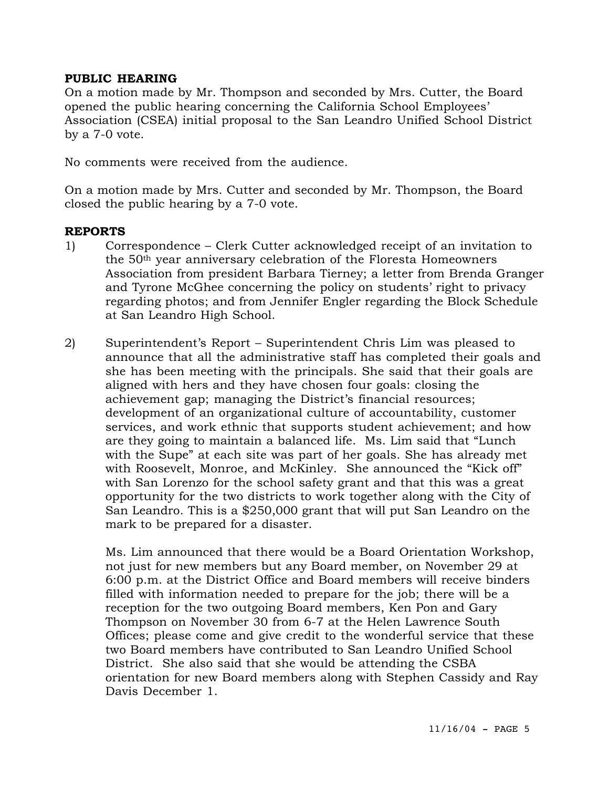#### **PUBLIC HEARING**

On a motion made by Mr. Thompson and seconded by Mrs. Cutter, the Board opened the public hearing concerning the California School Employees' Association (CSEA) initial proposal to the San Leandro Unified School District by a 7-0 vote.

No comments were received from the audience.

On a motion made by Mrs. Cutter and seconded by Mr. Thompson, the Board closed the public hearing by a 7-0 vote.

#### **REPORTS**

- 1) Correspondence Clerk Cutter acknowledged receipt of an invitation to the 50th year anniversary celebration of the Floresta Homeowners Association from president Barbara Tierney; a letter from Brenda Granger and Tyrone McGhee concerning the policy on students' right to privacy regarding photos; and from Jennifer Engler regarding the Block Schedule at San Leandro High School.
- 2) Superintendent's Report Superintendent Chris Lim was pleased to announce that all the administrative staff has completed their goals and she has been meeting with the principals. She said that their goals are aligned with hers and they have chosen four goals: closing the achievement gap; managing the District's financial resources; development of an organizational culture of accountability, customer services, and work ethnic that supports student achievement; and how are they going to maintain a balanced life. Ms. Lim said that "Lunch with the Supe" at each site was part of her goals. She has already met with Roosevelt, Monroe, and McKinley. She announced the "Kick off" with San Lorenzo for the school safety grant and that this was a great opportunity for the two districts to work together along with the City of San Leandro. This is a \$250,000 grant that will put San Leandro on the mark to be prepared for a disaster.

Ms. Lim announced that there would be a Board Orientation Workshop, not just for new members but any Board member, on November 29 at 6:00 p.m. at the District Office and Board members will receive binders filled with information needed to prepare for the job; there will be a reception for the two outgoing Board members, Ken Pon and Gary Thompson on November 30 from 6-7 at the Helen Lawrence South Offices; please come and give credit to the wonderful service that these two Board members have contributed to San Leandro Unified School District. She also said that she would be attending the CSBA orientation for new Board members along with Stephen Cassidy and Ray Davis December 1.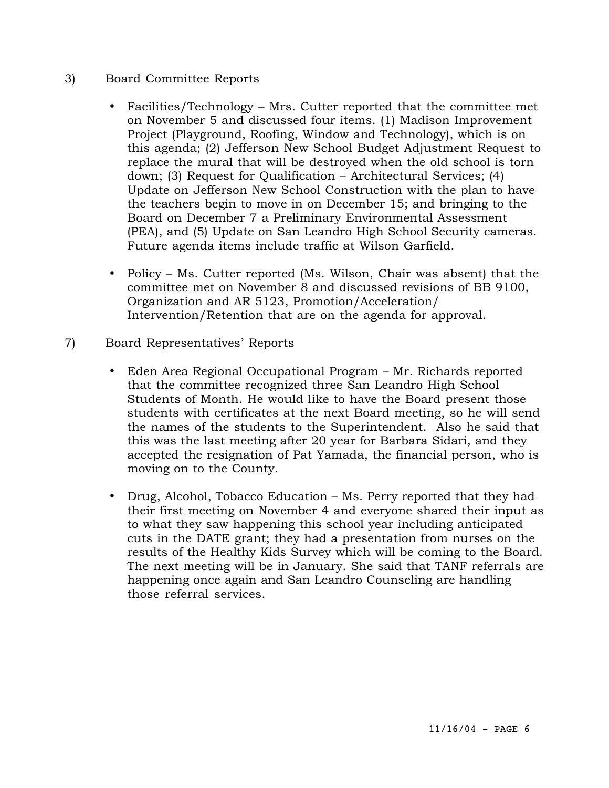# 3) Board Committee Reports

- Facilities/Technology Mrs. Cutter reported that the committee met on November 5 and discussed four items. (1) Madison Improvement Project (Playground, Roofing, Window and Technology), which is on this agenda; (2) Jefferson New School Budget Adjustment Request to replace the mural that will be destroyed when the old school is torn down; (3) Request for Qualification – Architectural Services; (4) Update on Jefferson New School Construction with the plan to have the teachers begin to move in on December 15; and bringing to the Board on December 7 a Preliminary Environmental Assessment (PEA), and (5) Update on San Leandro High School Security cameras. Future agenda items include traffic at Wilson Garfield.
- Policy Ms. Cutter reported (Ms. Wilson, Chair was absent) that the committee met on November 8 and discussed revisions of BB 9100, Organization and AR 5123, Promotion/Acceleration/ Intervention/Retention that are on the agenda for approval.
- 7) Board Representatives' Reports
	- Eden Area Regional Occupational Program Mr. Richards reported that the committee recognized three San Leandro High School Students of Month. He would like to have the Board present those students with certificates at the next Board meeting, so he will send the names of the students to the Superintendent. Also he said that this was the last meeting after 20 year for Barbara Sidari, and they accepted the resignation of Pat Yamada, the financial person, who is moving on to the County.
	- Drug, Alcohol, Tobacco Education Ms. Perry reported that they had their first meeting on November 4 and everyone shared their input as to what they saw happening this school year including anticipated cuts in the DATE grant; they had a presentation from nurses on the results of the Healthy Kids Survey which will be coming to the Board. The next meeting will be in January. She said that TANF referrals are happening once again and San Leandro Counseling are handling those referral services.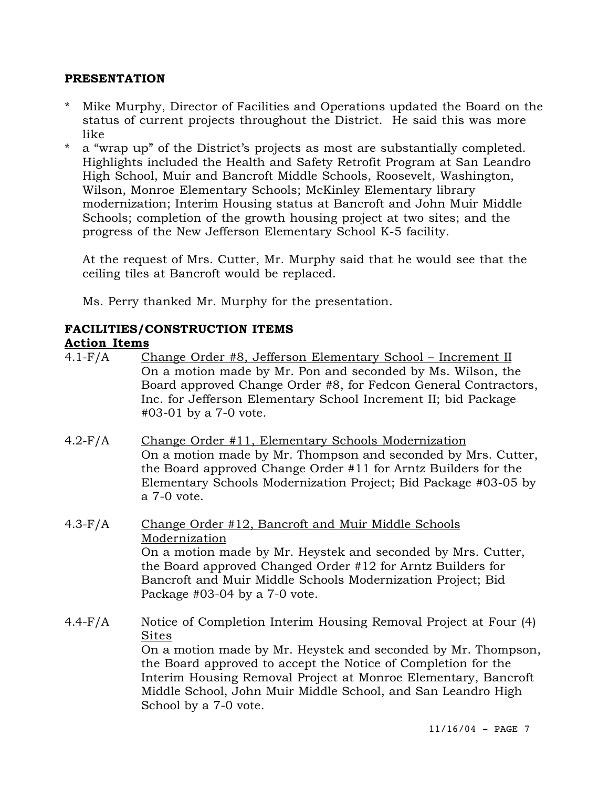### **PRESENTATION**

- Mike Murphy, Director of Facilities and Operations updated the Board on the status of current projects throughout the District. He said this was more like
- \* a "wrap up" of the District's projects as most are substantially completed. Highlights included the Health and Safety Retrofit Program at San Leandro High School, Muir and Bancroft Middle Schools, Roosevelt, Washington, Wilson, Monroe Elementary Schools; McKinley Elementary library modernization; Interim Housing status at Bancroft and John Muir Middle Schools; completion of the growth housing project at two sites; and the progress of the New Jefferson Elementary School K-5 facility.

At the request of Mrs. Cutter, Mr. Murphy said that he would see that the ceiling tiles at Bancroft would be replaced.

Ms. Perry thanked Mr. Murphy for the presentation.

# **FACILITIES/CONSTRUCTION ITEMS**

### **Action Items**

- 4.1-F/A Change Order #8, Jefferson Elementary School Increment II On a motion made by Mr. Pon and seconded by Ms. Wilson, the Board approved Change Order #8, for Fedcon General Contractors, Inc. for Jefferson Elementary School Increment II; bid Package #03-01 by a 7-0 vote.
- 4.2-F/A Change Order #11, Elementary Schools Modernization On a motion made by Mr. Thompson and seconded by Mrs. Cutter, the Board approved Change Order #11 for Arntz Builders for the Elementary Schools Modernization Project; Bid Package #03-05 by a 7-0 vote.
- 4.3-F/A Change Order #12, Bancroft and Muir Middle Schools Modernization On a motion made by Mr. Heystek and seconded by Mrs. Cutter, the Board approved Changed Order #12 for Arntz Builders for Bancroft and Muir Middle Schools Modernization Project; Bid Package #03-04 by a 7-0 vote.
- 4.4-F/A Notice of Completion Interim Housing Removal Project at Four (4) Sites On a motion made by Mr. Heystek and seconded by Mr. Thompson, the Board approved to accept the Notice of Completion for the Interim Housing Removal Project at Monroe Elementary, Bancroft Middle School, John Muir Middle School, and San Leandro High School by a 7-0 vote.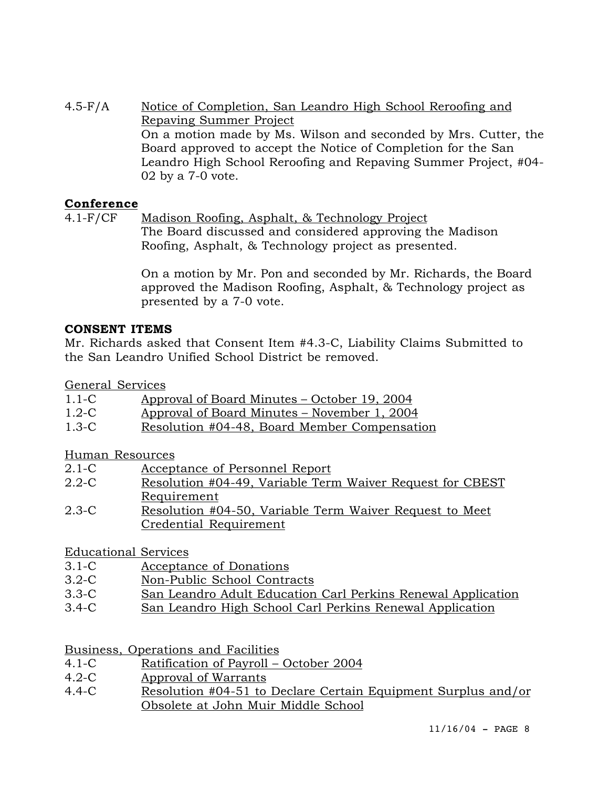4.5-F/A Notice of Completion, San Leandro High School Reroofing and Repaving Summer Project On a motion made by Ms. Wilson and seconded by Mrs. Cutter, the Board approved to accept the Notice of Completion for the San Leandro High School Reroofing and Repaving Summer Project, #04- 02 by a 7-0 vote.

# **Conference**

4.1-F/CF Madison Roofing, Asphalt, & Technology Project The Board discussed and considered approving the Madison Roofing, Asphalt, & Technology project as presented.

> On a motion by Mr. Pon and seconded by Mr. Richards, the Board approved the Madison Roofing, Asphalt, & Technology project as presented by a 7-0 vote.

# **CONSENT ITEMS**

Mr. Richards asked that Consent Item #4.3-C, Liability Claims Submitted to the San Leandro Unified School District be removed.

General Services

| $1.1 - C$ | <u> Approval of Board Minutes – October 19, 2004</u> |  |
|-----------|------------------------------------------------------|--|
|           |                                                      |  |

- 1.2-C Approval of Board Minutes November 1, 2004
- 1.3-C Resolution #04-48, Board Member Compensation

Human Resources

- 2.1-C Acceptance of Personnel Report
- 2.2-C Resolution #04-49, Variable Term Waiver Request for CBEST Requirement
- 2.3-C Resolution #04-50, Variable Term Waiver Request to Meet Credential Requirement

# Educational Services

- 3.1-C Acceptance of Donations
- 3.2-C Non-Public School Contracts
- 3.3-C San Leandro Adult Education Carl Perkins Renewal Application
- 3.4-C San Leandro High School Carl Perkins Renewal Application

Business, Operations and Facilities

- 4.1-C Ratification of Payroll October 2004
- 4.2-C Approval of Warrants
- 4.4-C Resolution #04-51 to Declare Certain Equipment Surplus and/or Obsolete at John Muir Middle School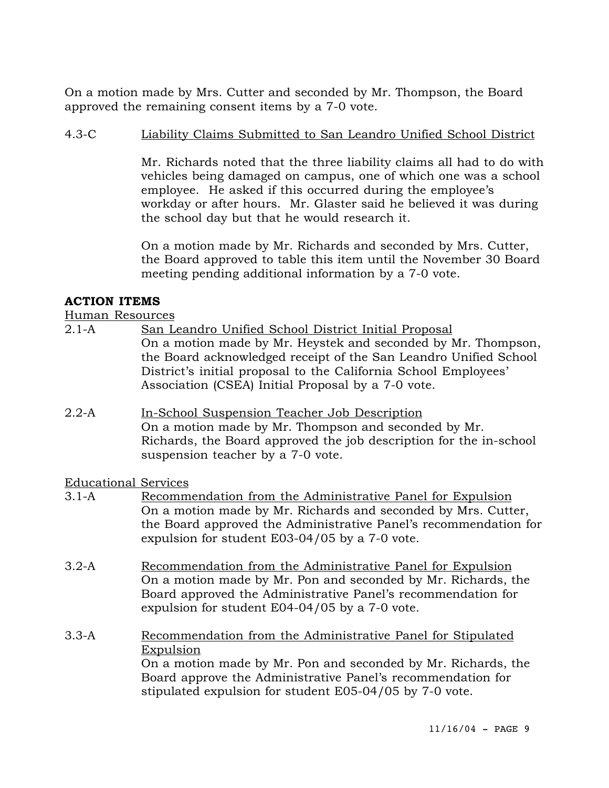On a motion made by Mrs. Cutter and seconded by Mr. Thompson, the Board approved the remaining consent items by a 7-0 vote.

# 4.3-C Liability Claims Submitted to San Leandro Unified School District

Mr. Richards noted that the three liability claims all had to do with vehicles being damaged on campus, one of which one was a school employee. He asked if this occurred during the employee's workday or after hours. Mr. Glaster said he believed it was during the school day but that he would research it.

On a motion made by Mr. Richards and seconded by Mrs. Cutter, the Board approved to table this item until the November 30 Board meeting pending additional information by a 7-0 vote.

# **ACTION ITEMS**

Human Resources

- 2.1-A San Leandro Unified School District Initial Proposal On a motion made by Mr. Heystek and seconded by Mr. Thompson, the Board acknowledged receipt of the San Leandro Unified School District's initial proposal to the California School Employees' Association (CSEA) Initial Proposal by a 7-0 vote.
- 2.2-A In-School Suspension Teacher Job Description On a motion made by Mr. Thompson and seconded by Mr. Richards, the Board approved the job description for the in-school suspension teacher by a 7-0 vote.

Educational Services

- 3.1-A Recommendation from the Administrative Panel for Expulsion On a motion made by Mr. Richards and seconded by Mrs. Cutter, the Board approved the Administrative Panel's recommendation for expulsion for student E03-04/05 by a 7-0 vote.
- 3.2-A Recommendation from the Administrative Panel for Expulsion On a motion made by Mr. Pon and seconded by Mr. Richards, the Board approved the Administrative Panel's recommendation for expulsion for student E04-04/05 by a 7-0 vote.
- 3.3-A Recommendation from the Administrative Panel for Stipulated Expulsion On a motion made by Mr. Pon and seconded by Mr. Richards, the Board approve the Administrative Panel's recommendation for stipulated expulsion for student E05-04/05 by 7-0 vote.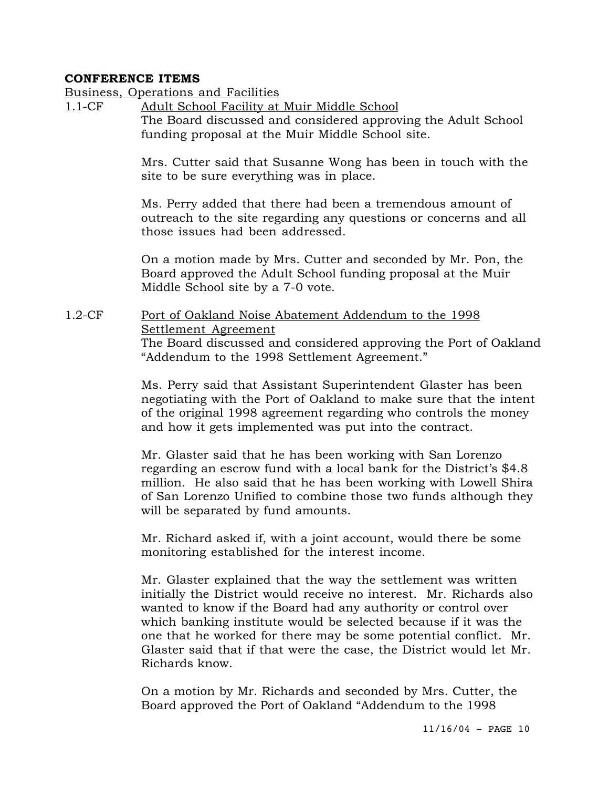#### **CONFERENCE ITEMS**

#### Business, Operations and Facilities

1.1-CF Adult School Facility at Muir Middle School The Board discussed and considered approving the Adult School funding proposal at the Muir Middle School site.

> Mrs. Cutter said that Susanne Wong has been in touch with the site to be sure everything was in place.

> Ms. Perry added that there had been a tremendous amount of outreach to the site regarding any questions or concerns and all those issues had been addressed.

> On a motion made by Mrs. Cutter and seconded by Mr. Pon, the Board approved the Adult School funding proposal at the Muir Middle School site by a 7-0 vote.

1.2-CF Port of Oakland Noise Abatement Addendum to the 1998 Settlement Agreement The Board discussed and considered approving the Port of Oakland "Addendum to the 1998 Settlement Agreement."

> Ms. Perry said that Assistant Superintendent Glaster has been negotiating with the Port of Oakland to make sure that the intent of the original 1998 agreement regarding who controls the money and how it gets implemented was put into the contract.

> Mr. Glaster said that he has been working with San Lorenzo regarding an escrow fund with a local bank for the District's \$4.8 million. He also said that he has been working with Lowell Shira of San Lorenzo Unified to combine those two funds although they will be separated by fund amounts.

Mr. Richard asked if, with a joint account, would there be some monitoring established for the interest income.

Mr. Glaster explained that the way the settlement was written initially the District would receive no interest. Mr. Richards also wanted to know if the Board had any authority or control over which banking institute would be selected because if it was the one that he worked for there may be some potential conflict. Mr. Glaster said that if that were the case, the District would let Mr. Richards know.

On a motion by Mr. Richards and seconded by Mrs. Cutter, the Board approved the Port of Oakland "Addendum to the 1998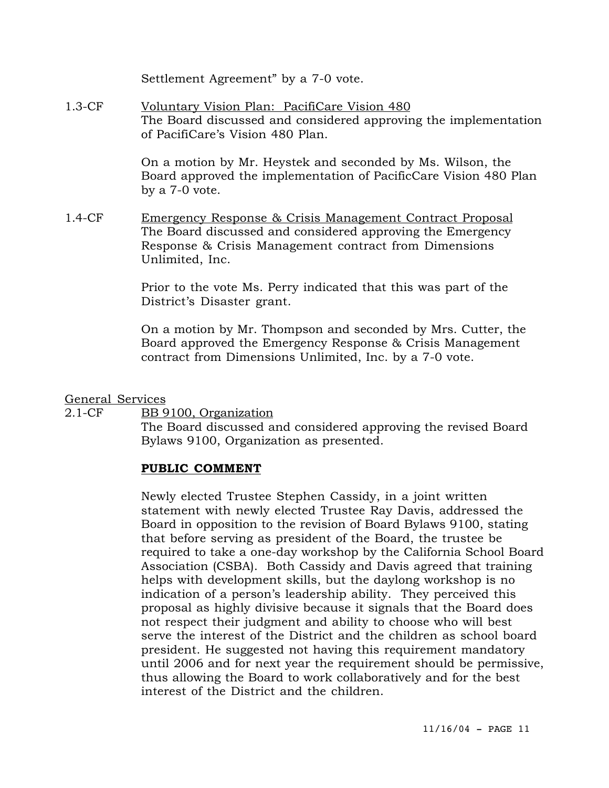Settlement Agreement" by a 7-0 vote.

1.3-CF Voluntary Vision Plan: PacifiCare Vision 480 The Board discussed and considered approving the implementation of PacifiCare's Vision 480 Plan.

> On a motion by Mr. Heystek and seconded by Ms. Wilson, the Board approved the implementation of PacificCare Vision 480 Plan by a 7-0 vote.

1.4-CF Emergency Response & Crisis Management Contract Proposal The Board discussed and considered approving the Emergency Response & Crisis Management contract from Dimensions Unlimited, Inc.

> Prior to the vote Ms. Perry indicated that this was part of the District's Disaster grant.

On a motion by Mr. Thompson and seconded by Mrs. Cutter, the Board approved the Emergency Response & Crisis Management contract from Dimensions Unlimited, Inc. by a 7-0 vote.

General Services

2.1-CF BB 9100, Organization

The Board discussed and considered approving the revised Board Bylaws 9100, Organization as presented.

#### **PUBLIC COMMENT**

Newly elected Trustee Stephen Cassidy, in a joint written statement with newly elected Trustee Ray Davis, addressed the Board in opposition to the revision of Board Bylaws 9100, stating that before serving as president of the Board, the trustee be required to take a one-day workshop by the California School Board Association (CSBA). Both Cassidy and Davis agreed that training helps with development skills, but the daylong workshop is no indication of a person's leadership ability. They perceived this proposal as highly divisive because it signals that the Board does not respect their judgment and ability to choose who will best serve the interest of the District and the children as school board president. He suggested not having this requirement mandatory until 2006 and for next year the requirement should be permissive, thus allowing the Board to work collaboratively and for the best interest of the District and the children.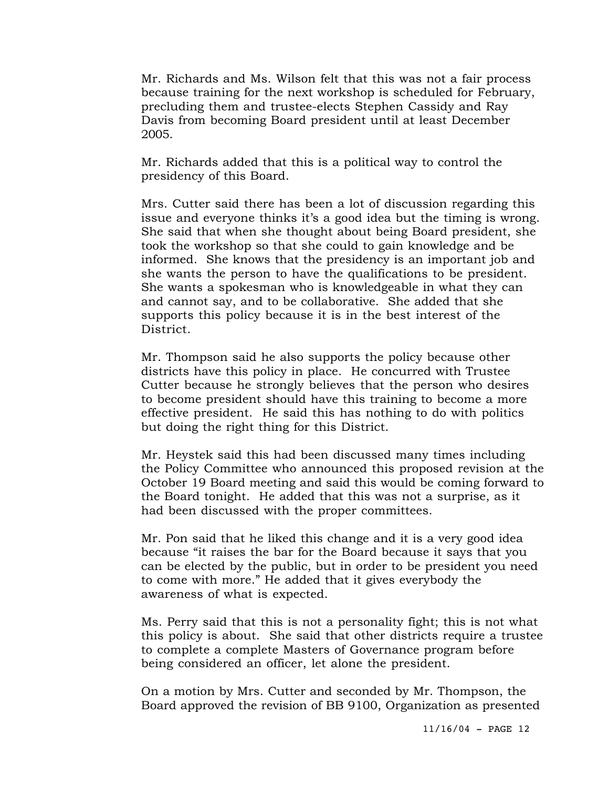Mr. Richards and Ms. Wilson felt that this was not a fair process because training for the next workshop is scheduled for February, precluding them and trustee-elects Stephen Cassidy and Ray Davis from becoming Board president until at least December 2005.

Mr. Richards added that this is a political way to control the presidency of this Board.

Mrs. Cutter said there has been a lot of discussion regarding this issue and everyone thinks it's a good idea but the timing is wrong. She said that when she thought about being Board president, she took the workshop so that she could to gain knowledge and be informed. She knows that the presidency is an important job and she wants the person to have the qualifications to be president. She wants a spokesman who is knowledgeable in what they can and cannot say, and to be collaborative. She added that she supports this policy because it is in the best interest of the District.

Mr. Thompson said he also supports the policy because other districts have this policy in place. He concurred with Trustee Cutter because he strongly believes that the person who desires to become president should have this training to become a more effective president. He said this has nothing to do with politics but doing the right thing for this District.

Mr. Heystek said this had been discussed many times including the Policy Committee who announced this proposed revision at the October 19 Board meeting and said this would be coming forward to the Board tonight. He added that this was not a surprise, as it had been discussed with the proper committees.

Mr. Pon said that he liked this change and it is a very good idea because "it raises the bar for the Board because it says that you can be elected by the public, but in order to be president you need to come with more." He added that it gives everybody the awareness of what is expected.

Ms. Perry said that this is not a personality fight; this is not what this policy is about. She said that other districts require a trustee to complete a complete Masters of Governance program before being considered an officer, let alone the president.

On a motion by Mrs. Cutter and seconded by Mr. Thompson, the Board approved the revision of BB 9100, Organization as presented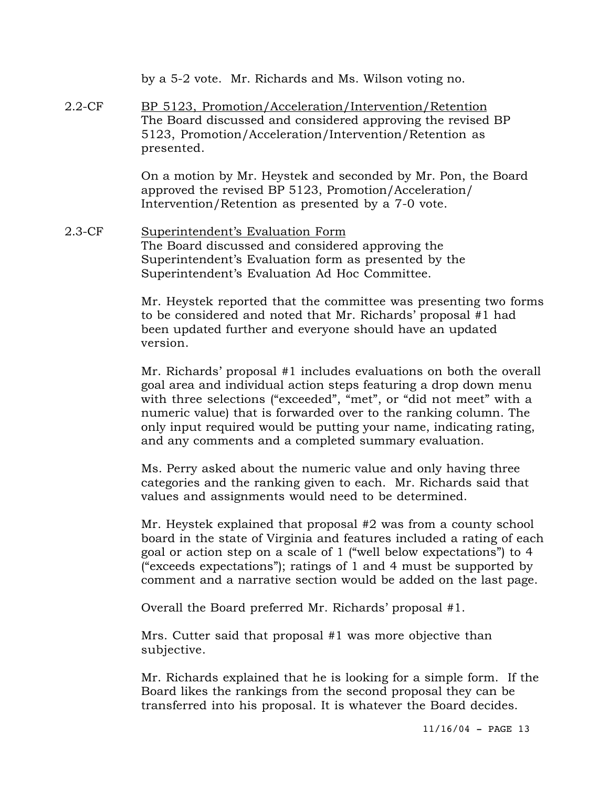|           | by a 5-2 vote. Mr. Richards and Ms. Wilson voting no.                                                                                                                                                                                                                                                                                                  |
|-----------|--------------------------------------------------------------------------------------------------------------------------------------------------------------------------------------------------------------------------------------------------------------------------------------------------------------------------------------------------------|
| $2.2$ -CF | BP 5123, Promotion/Acceleration/Intervention/Retention<br>The Board discussed and considered approving the revised BP<br>5123, Promotion/Acceleration/Intervention/Retention as<br>presented.                                                                                                                                                          |
|           | On a motion by Mr. Heystek and seconded by Mr. Pon, the Board<br>approved the revised BP 5123, Promotion/Acceleration/<br>Intervention/Retention as presented by a 7-0 vote.                                                                                                                                                                           |
| 2.3-CF    | Superintendent's Evaluation Form<br>The Board discussed and considered approving the<br>Superintendent's Evaluation form as presented by the<br>Superintendent's Evaluation Ad Hoc Committee.                                                                                                                                                          |
|           | Mr. Heystek reported that the committee was presenting two forms<br>to be considered and noted that Mr. Richards' proposal #1 had<br>been updated further and everyone should have an updated<br>version.                                                                                                                                              |
|           | Mr. Richards' proposal #1 includes evaluations on both the overall<br>goal area and individual action steps featuring a drop down menu<br>with three selections ("exceeded", "met", or "did not meet" with a<br>numeric value) that is forwarded over to the ranking column. The<br>only input required would be putting your name, indicating rating, |

Ms. Perry asked about the numeric value and only having three categories and the ranking given to each. Mr. Richards said that values and assignments would need to be determined.

and any comments and a completed summary evaluation.

Mr. Heystek explained that proposal #2 was from a county school board in the state of Virginia and features included a rating of each goal or action step on a scale of 1 ("well below expectations") to 4 ("exceeds expectations"); ratings of 1 and 4 must be supported by comment and a narrative section would be added on the last page.

Overall the Board preferred Mr. Richards' proposal #1.

Mrs. Cutter said that proposal #1 was more objective than subjective.

Mr. Richards explained that he is looking for a simple form. If the Board likes the rankings from the second proposal they can be transferred into his proposal. It is whatever the Board decides.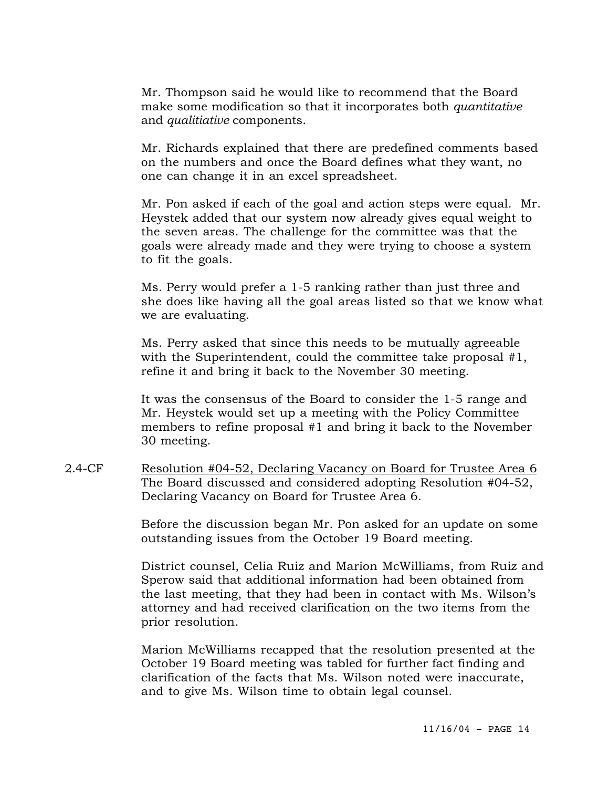Mr. Thompson said he would like to recommend that the Board make some modification so that it incorporates both *quantitative* and *qualitiative* components.

Mr. Richards explained that there are predefined comments based on the numbers and once the Board defines what they want, no one can change it in an excel spreadsheet.

Mr. Pon asked if each of the goal and action steps were equal. Mr. Heystek added that our system now already gives equal weight to the seven areas. The challenge for the committee was that the goals were already made and they were trying to choose a system to fit the goals.

Ms. Perry would prefer a 1-5 ranking rather than just three and she does like having all the goal areas listed so that we know what we are evaluating.

Ms. Perry asked that since this needs to be mutually agreeable with the Superintendent, could the committee take proposal #1, refine it and bring it back to the November 30 meeting.

It was the consensus of the Board to consider the 1-5 range and Mr. Heystek would set up a meeting with the Policy Committee members to refine proposal #1 and bring it back to the November 30 meeting.

2.4-CF Resolution #04-52, Declaring Vacancy on Board for Trustee Area 6 The Board discussed and considered adopting Resolution #04-52, Declaring Vacancy on Board for Trustee Area 6.

> Before the discussion began Mr. Pon asked for an update on some outstanding issues from the October 19 Board meeting.

District counsel, Celia Ruiz and Marion McWilliams, from Ruiz and Sperow said that additional information had been obtained from the last meeting, that they had been in contact with Ms. Wilson's attorney and had received clarification on the two items from the prior resolution.

Marion McWilliams recapped that the resolution presented at the October 19 Board meeting was tabled for further fact finding and clarification of the facts that Ms. Wilson noted were inaccurate, and to give Ms. Wilson time to obtain legal counsel.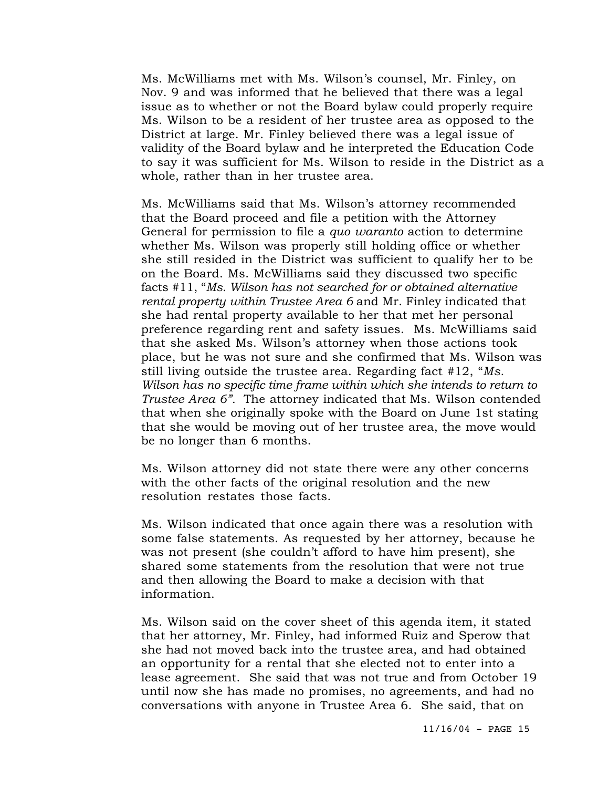Ms. McWilliams met with Ms. Wilson's counsel, Mr. Finley, on Nov. 9 and was informed that he believed that there was a legal issue as to whether or not the Board bylaw could properly require Ms. Wilson to be a resident of her trustee area as opposed to the District at large. Mr. Finley believed there was a legal issue of validity of the Board bylaw and he interpreted the Education Code to say it was sufficient for Ms. Wilson to reside in the District as a whole, rather than in her trustee area.

Ms. McWilliams said that Ms. Wilson's attorney recommended that the Board proceed and file a petition with the Attorney General for permission to file a *quo waranto* action to determine whether Ms. Wilson was properly still holding office or whether she still resided in the District was sufficient to qualify her to be on the Board. Ms. McWilliams said they discussed two specific facts #11, "*Ms. Wilson has not searched for or obtained alternative rental property within Trustee Area 6* and Mr. Finley indicated that she had rental property available to her that met her personal preference regarding rent and safety issues. Ms. McWilliams said that she asked Ms. Wilson's attorney when those actions took place, but he was not sure and she confirmed that Ms. Wilson was still living outside the trustee area. Regarding fact #12, "*Ms. Wilson has no specific time frame within which she intends to return to Trustee Area 6".* The attorney indicated that Ms. Wilson contended that when she originally spoke with the Board on June 1st stating that she would be moving out of her trustee area, the move would be no longer than 6 months.

Ms. Wilson attorney did not state there were any other concerns with the other facts of the original resolution and the new resolution restates those facts.

Ms. Wilson indicated that once again there was a resolution with some false statements. As requested by her attorney, because he was not present (she couldn't afford to have him present), she shared some statements from the resolution that were not true and then allowing the Board to make a decision with that information.

Ms. Wilson said on the cover sheet of this agenda item, it stated that her attorney, Mr. Finley, had informed Ruiz and Sperow that she had not moved back into the trustee area, and had obtained an opportunity for a rental that she elected not to enter into a lease agreement. She said that was not true and from October 19 until now she has made no promises, no agreements, and had no conversations with anyone in Trustee Area 6. She said, that on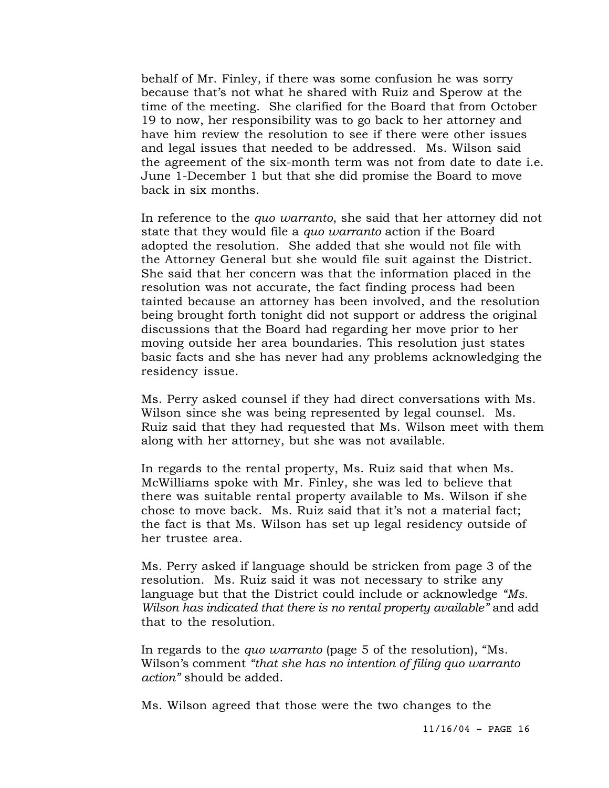behalf of Mr. Finley, if there was some confusion he was sorry because that's not what he shared with Ruiz and Sperow at the time of the meeting. She clarified for the Board that from October 19 to now, her responsibility was to go back to her attorney and have him review the resolution to see if there were other issues and legal issues that needed to be addressed. Ms. Wilson said the agreement of the six-month term was not from date to date i.e. June 1-December 1 but that she did promise the Board to move back in six months.

In reference to the *quo warranto*, she said that her attorney did not state that they would file a *quo warranto* action if the Board adopted the resolution. She added that she would not file with the Attorney General but she would file suit against the District. She said that her concern was that the information placed in the resolution was not accurate, the fact finding process had been tainted because an attorney has been involved, and the resolution being brought forth tonight did not support or address the original discussions that the Board had regarding her move prior to her moving outside her area boundaries. This resolution just states basic facts and she has never had any problems acknowledging the residency issue.

Ms. Perry asked counsel if they had direct conversations with Ms. Wilson since she was being represented by legal counsel. Ms. Ruiz said that they had requested that Ms. Wilson meet with them along with her attorney, but she was not available.

In regards to the rental property, Ms. Ruiz said that when Ms. McWilliams spoke with Mr. Finley, she was led to believe that there was suitable rental property available to Ms. Wilson if she chose to move back. Ms. Ruiz said that it's not a material fact; the fact is that Ms. Wilson has set up legal residency outside of her trustee area.

Ms. Perry asked if language should be stricken from page 3 of the resolution. Ms. Ruiz said it was not necessary to strike any language but that the District could include or acknowledge *"Ms. Wilson has indicated that there is no rental property available"* and add that to the resolution.

In regards to the *quo warranto* (page 5 of the resolution), "Ms. Wilson's comment *"that she has no intention of filing quo warranto action"* should be added.

Ms. Wilson agreed that those were the two changes to the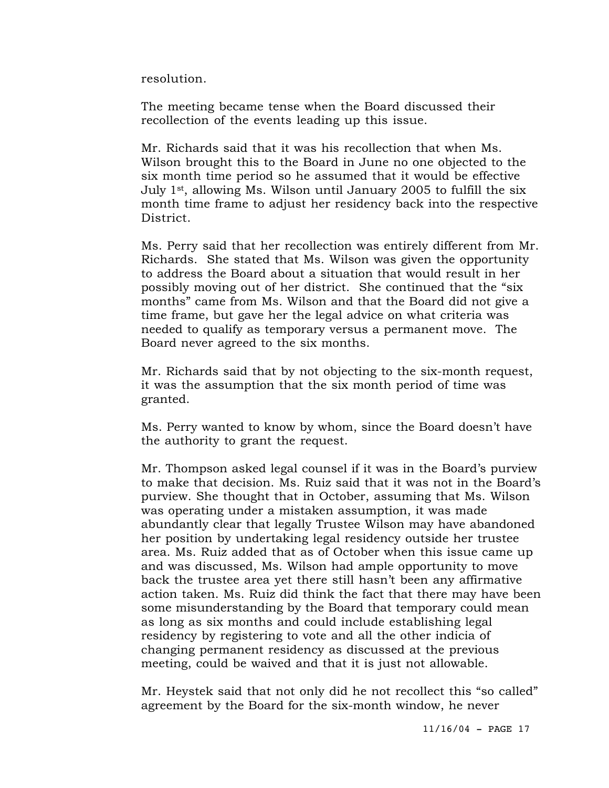resolution.

The meeting became tense when the Board discussed their recollection of the events leading up this issue.

Mr. Richards said that it was his recollection that when Ms. Wilson brought this to the Board in June no one objected to the six month time period so he assumed that it would be effective July 1st, allowing Ms. Wilson until January 2005 to fulfill the six month time frame to adjust her residency back into the respective District.

Ms. Perry said that her recollection was entirely different from Mr. Richards. She stated that Ms. Wilson was given the opportunity to address the Board about a situation that would result in her possibly moving out of her district. She continued that the "six months" came from Ms. Wilson and that the Board did not give a time frame, but gave her the legal advice on what criteria was needed to qualify as temporary versus a permanent move. The Board never agreed to the six months.

Mr. Richards said that by not objecting to the six-month request, it was the assumption that the six month period of time was granted.

Ms. Perry wanted to know by whom, since the Board doesn't have the authority to grant the request.

Mr. Thompson asked legal counsel if it was in the Board's purview to make that decision. Ms. Ruiz said that it was not in the Board's purview. She thought that in October, assuming that Ms. Wilson was operating under a mistaken assumption, it was made abundantly clear that legally Trustee Wilson may have abandoned her position by undertaking legal residency outside her trustee area. Ms. Ruiz added that as of October when this issue came up and was discussed, Ms. Wilson had ample opportunity to move back the trustee area yet there still hasn't been any affirmative action taken. Ms. Ruiz did think the fact that there may have been some misunderstanding by the Board that temporary could mean as long as six months and could include establishing legal residency by registering to vote and all the other indicia of changing permanent residency as discussed at the previous meeting, could be waived and that it is just not allowable.

Mr. Heystek said that not only did he not recollect this "so called" agreement by the Board for the six-month window, he never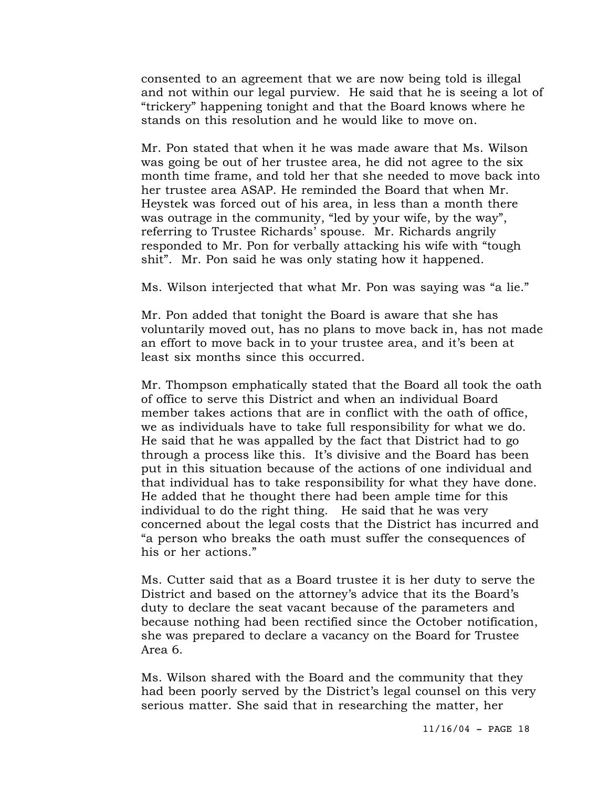consented to an agreement that we are now being told is illegal and not within our legal purview. He said that he is seeing a lot of "trickery" happening tonight and that the Board knows where he stands on this resolution and he would like to move on.

Mr. Pon stated that when it he was made aware that Ms. Wilson was going be out of her trustee area, he did not agree to the six month time frame, and told her that she needed to move back into her trustee area ASAP. He reminded the Board that when Mr. Heystek was forced out of his area, in less than a month there was outrage in the community, "led by your wife, by the way", referring to Trustee Richards' spouse. Mr. Richards angrily responded to Mr. Pon for verbally attacking his wife with "tough shit". Mr. Pon said he was only stating how it happened.

Ms. Wilson interjected that what Mr. Pon was saying was "a lie."

Mr. Pon added that tonight the Board is aware that she has voluntarily moved out, has no plans to move back in, has not made an effort to move back in to your trustee area, and it's been at least six months since this occurred.

Mr. Thompson emphatically stated that the Board all took the oath of office to serve this District and when an individual Board member takes actions that are in conflict with the oath of office, we as individuals have to take full responsibility for what we do. He said that he was appalled by the fact that District had to go through a process like this. It's divisive and the Board has been put in this situation because of the actions of one individual and that individual has to take responsibility for what they have done. He added that he thought there had been ample time for this individual to do the right thing. He said that he was very concerned about the legal costs that the District has incurred and "a person who breaks the oath must suffer the consequences of his or her actions."

Ms. Cutter said that as a Board trustee it is her duty to serve the District and based on the attorney's advice that its the Board's duty to declare the seat vacant because of the parameters and because nothing had been rectified since the October notification, she was prepared to declare a vacancy on the Board for Trustee Area 6.

Ms. Wilson shared with the Board and the community that they had been poorly served by the District's legal counsel on this very serious matter. She said that in researching the matter, her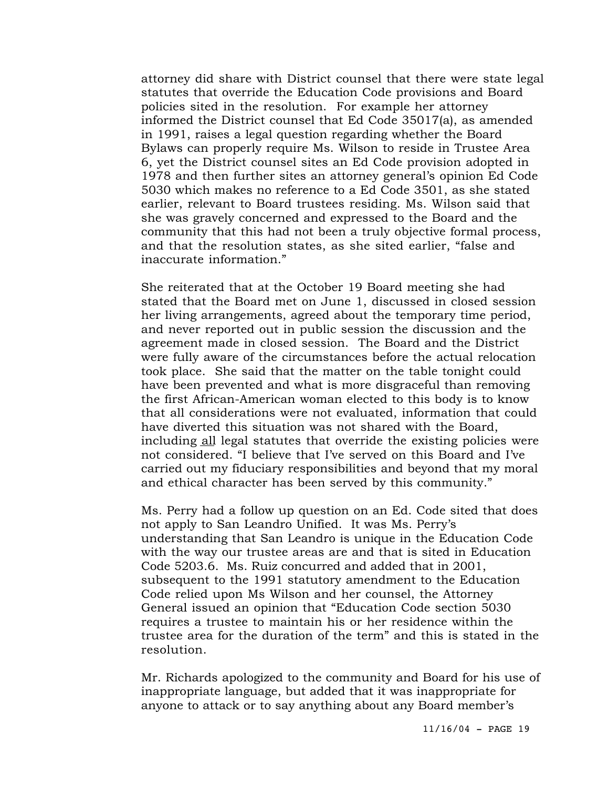attorney did share with District counsel that there were state legal statutes that override the Education Code provisions and Board policies sited in the resolution. For example her attorney informed the District counsel that Ed Code 35017(a), as amended in 1991, raises a legal question regarding whether the Board Bylaws can properly require Ms. Wilson to reside in Trustee Area 6, yet the District counsel sites an Ed Code provision adopted in 1978 and then further sites an attorney general's opinion Ed Code 5030 which makes no reference to a Ed Code 3501, as she stated earlier, relevant to Board trustees residing. Ms. Wilson said that she was gravely concerned and expressed to the Board and the community that this had not been a truly objective formal process, and that the resolution states, as she sited earlier, "false and inaccurate information."

She reiterated that at the October 19 Board meeting she had stated that the Board met on June 1, discussed in closed session her living arrangements, agreed about the temporary time period, and never reported out in public session the discussion and the agreement made in closed session. The Board and the District were fully aware of the circumstances before the actual relocation took place. She said that the matter on the table tonight could have been prevented and what is more disgraceful than removing the first African-American woman elected to this body is to know that all considerations were not evaluated, information that could have diverted this situation was not shared with the Board, including all legal statutes that override the existing policies were not considered. "I believe that I've served on this Board and I've carried out my fiduciary responsibilities and beyond that my moral and ethical character has been served by this community."

Ms. Perry had a follow up question on an Ed. Code sited that does not apply to San Leandro Unified. It was Ms. Perry's understanding that San Leandro is unique in the Education Code with the way our trustee areas are and that is sited in Education Code 5203.6. Ms. Ruiz concurred and added that in 2001, subsequent to the 1991 statutory amendment to the Education Code relied upon Ms Wilson and her counsel, the Attorney General issued an opinion that "Education Code section 5030 requires a trustee to maintain his or her residence within the trustee area for the duration of the term" and this is stated in the resolution.

Mr. Richards apologized to the community and Board for his use of inappropriate language, but added that it was inappropriate for anyone to attack or to say anything about any Board member's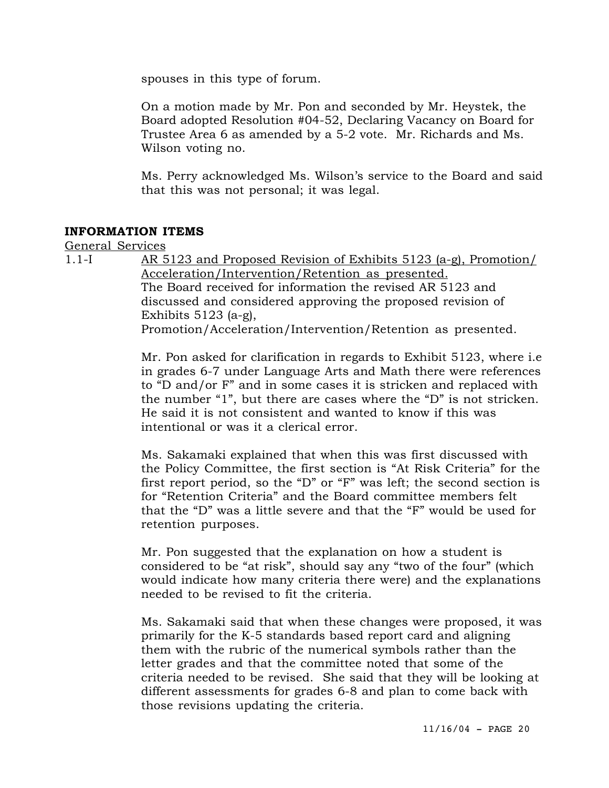spouses in this type of forum.

On a motion made by Mr. Pon and seconded by Mr. Heystek, the Board adopted Resolution #04-52, Declaring Vacancy on Board for Trustee Area 6 as amended by a 5-2 vote. Mr. Richards and Ms. Wilson voting no.

Ms. Perry acknowledged Ms. Wilson's service to the Board and said that this was not personal; it was legal.

#### **INFORMATION ITEMS**

General Services

1.1-I AR 5123 and Proposed Revision of Exhibits 5123 (a-g), Promotion/ Acceleration/Intervention/Retention as presented. The Board received for information the revised AR 5123 and discussed and considered approving the proposed revision of Exhibits 5123 (a-g), Promotion/Acceleration/Intervention/Retention as presented.

> Mr. Pon asked for clarification in regards to Exhibit 5123, where i.e in grades 6-7 under Language Arts and Math there were references to "D and/or F" and in some cases it is stricken and replaced with the number "1", but there are cases where the "D" is not stricken. He said it is not consistent and wanted to know if this was intentional or was it a clerical error.

> Ms. Sakamaki explained that when this was first discussed with the Policy Committee, the first section is "At Risk Criteria" for the first report period, so the "D" or "F" was left; the second section is for "Retention Criteria" and the Board committee members felt that the "D" was a little severe and that the "F" would be used for retention purposes.

> Mr. Pon suggested that the explanation on how a student is considered to be "at risk", should say any "two of the four" (which would indicate how many criteria there were) and the explanations needed to be revised to fit the criteria.

> Ms. Sakamaki said that when these changes were proposed, it was primarily for the K-5 standards based report card and aligning them with the rubric of the numerical symbols rather than the letter grades and that the committee noted that some of the criteria needed to be revised. She said that they will be looking at different assessments for grades 6-8 and plan to come back with those revisions updating the criteria.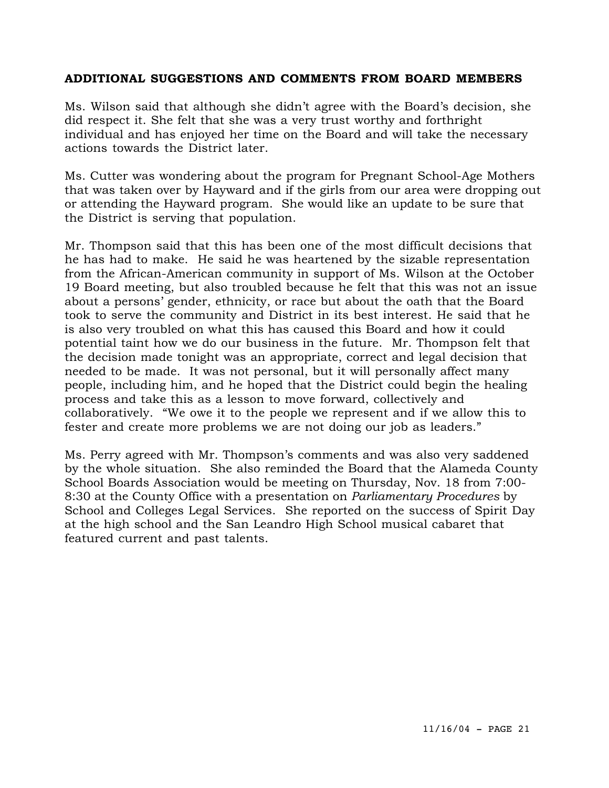### **ADDITIONAL SUGGESTIONS AND COMMENTS FROM BOARD MEMBERS**

Ms. Wilson said that although she didn't agree with the Board's decision, she did respect it. She felt that she was a very trust worthy and forthright individual and has enjoyed her time on the Board and will take the necessary actions towards the District later.

Ms. Cutter was wondering about the program for Pregnant School-Age Mothers that was taken over by Hayward and if the girls from our area were dropping out or attending the Hayward program. She would like an update to be sure that the District is serving that population.

Mr. Thompson said that this has been one of the most difficult decisions that he has had to make. He said he was heartened by the sizable representation from the African-American community in support of Ms. Wilson at the October 19 Board meeting, but also troubled because he felt that this was not an issue about a persons' gender, ethnicity, or race but about the oath that the Board took to serve the community and District in its best interest. He said that he is also very troubled on what this has caused this Board and how it could potential taint how we do our business in the future. Mr. Thompson felt that the decision made tonight was an appropriate, correct and legal decision that needed to be made. It was not personal, but it will personally affect many people, including him, and he hoped that the District could begin the healing process and take this as a lesson to move forward, collectively and collaboratively. "We owe it to the people we represent and if we allow this to fester and create more problems we are not doing our job as leaders."

Ms. Perry agreed with Mr. Thompson's comments and was also very saddened by the whole situation. She also reminded the Board that the Alameda County School Boards Association would be meeting on Thursday, Nov. 18 from 7:00- 8:30 at the County Office with a presentation on *Parliamentary Procedures* by School and Colleges Legal Services. She reported on the success of Spirit Day at the high school and the San Leandro High School musical cabaret that featured current and past talents.